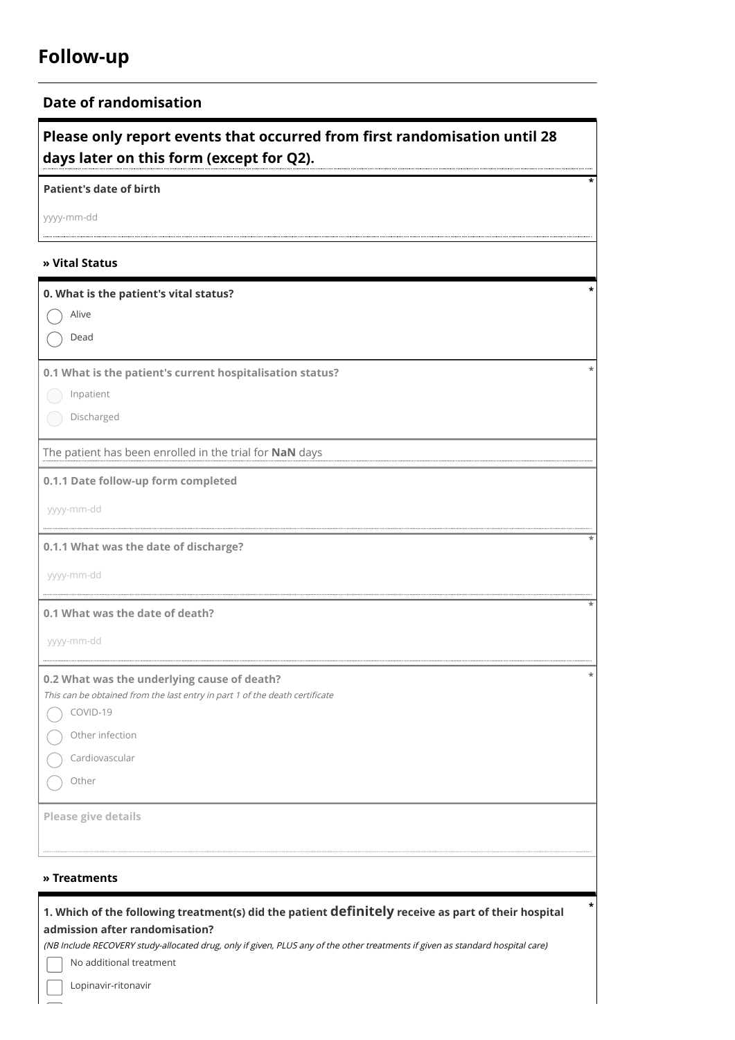## **Follow-up**

## **Date of randomisation**

**Please only report events that occurred from first randomisation until 28 days later on this form (except for Q2).**

**\***

**Patient's date of birth**

yyyy-mm-dd

## **» Vital Status**

| 0. What is the patient's vital status?                                                                                                |
|---------------------------------------------------------------------------------------------------------------------------------------|
| $\bigcap$ Alive                                                                                                                       |
| Dead<br>$\left( \quad \right)$                                                                                                        |
|                                                                                                                                       |
| 0.1 What is the patient's current hospitalisation status?                                                                             |
| Inpatient                                                                                                                             |
| Discharged                                                                                                                            |
| The patient has been enrolled in the trial for NaN days                                                                               |
| 0.1.1 Date follow-up form completed                                                                                                   |
| yyyy-mm-dd                                                                                                                            |
| 0.1.1 What was the date of discharge?                                                                                                 |
| yyyy-mm-dd                                                                                                                            |
| 0.1 What was the date of death?                                                                                                       |
| yyyy-mm-dd                                                                                                                            |
| 0.2 What was the underlying cause of death?                                                                                           |
| This can be obtained from the last entry in part 1 of the death certificate                                                           |
| $\bigcirc$ COVID-19                                                                                                                   |
| Other infection                                                                                                                       |
| Cardiovascular                                                                                                                        |
| ◯ Other                                                                                                                               |
| Please give details                                                                                                                   |
|                                                                                                                                       |
| » Treatments                                                                                                                          |
|                                                                                                                                       |
| 1. Which of the following treatment(s) did the patient definitely receive as part of their hospital<br>admission after randomisation? |
| (NB Include RECOVERY study-allocated drug, only if given, PLUS any of the other treatments if given as standard hospital care)        |
| No additional treatment                                                                                                               |

Lopinavir-ritonavir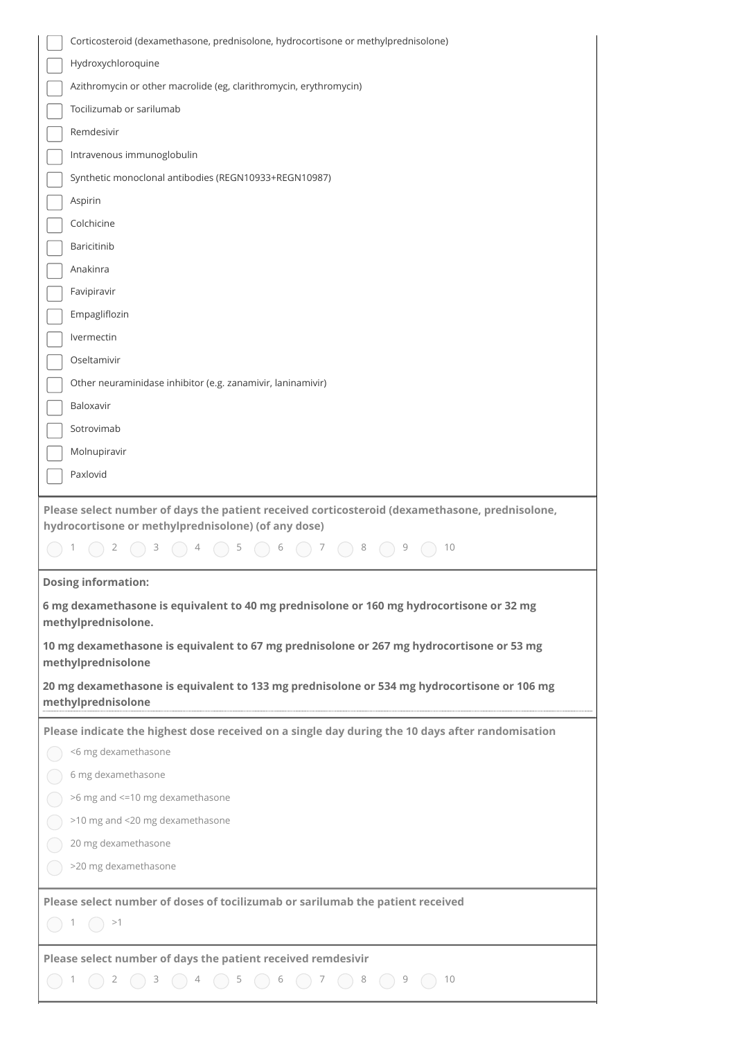| Corticosteroid (dexamethasone, prednisolone, hydrocortisone or methylprednisolone)                                                                                              |
|---------------------------------------------------------------------------------------------------------------------------------------------------------------------------------|
| Hydroxychloroquine                                                                                                                                                              |
| Azithromycin or other macrolide (eg, clarithromycin, erythromycin)                                                                                                              |
| Tocilizumab or sarilumab                                                                                                                                                        |
| Remdesivir                                                                                                                                                                      |
| Intravenous immunoglobulin                                                                                                                                                      |
| Synthetic monoclonal antibodies (REGN10933+REGN10987)                                                                                                                           |
| Aspirin                                                                                                                                                                         |
| Colchicine                                                                                                                                                                      |
| Baricitinib                                                                                                                                                                     |
| Anakinra                                                                                                                                                                        |
| Favipiravir                                                                                                                                                                     |
| Empagliflozin                                                                                                                                                                   |
| Ivermectin                                                                                                                                                                      |
| Oseltamivir                                                                                                                                                                     |
| Other neuraminidase inhibitor (e.g. zanamivir, laninamivir)                                                                                                                     |
| Baloxavir                                                                                                                                                                       |
| Sotrovimab                                                                                                                                                                      |
| Molnupiravir                                                                                                                                                                    |
| Paxlovid                                                                                                                                                                        |
| Please select number of days the patient received corticosteroid (dexamethasone, prednisolone,<br>hydrocortisone or methylprednisolone) (of any dose)<br>5<br>6<br>10<br>7<br>8 |
| <b>Dosing information:</b>                                                                                                                                                      |
| 6 mg dexamethasone is equivalent to 40 mg prednisolone or 160 mg hydrocortisone or 32 mg<br>methylprednisolone.                                                                 |
| 10 mg dexamethasone is equivalent to 67 mg prednisolone or 267 mg hydrocortisone or 53 mg<br>methylprednisolone                                                                 |
| 20 mg dexamethasone is equivalent to 133 mg prednisolone or 534 mg hydrocortisone or 106 mg<br>methylprednisolone                                                               |
| Please indicate the highest dose received on a single day during the 10 days after randomisation                                                                                |
| <6 mg dexamethasone                                                                                                                                                             |
| 6 mg dexamethasone                                                                                                                                                              |
| >6 mg and <= 10 mg dexamethasone                                                                                                                                                |
| >10 mg and <20 mg dexamethasone                                                                                                                                                 |
| 20 mg dexamethasone                                                                                                                                                             |
| >20 mg dexamethasone                                                                                                                                                            |
| Please select number of doses of tocilizumab or sarilumab the patient received                                                                                                  |
| >1                                                                                                                                                                              |
| Please select number of days the patient received remdesivir                                                                                                                    |
| 9<br>10                                                                                                                                                                         |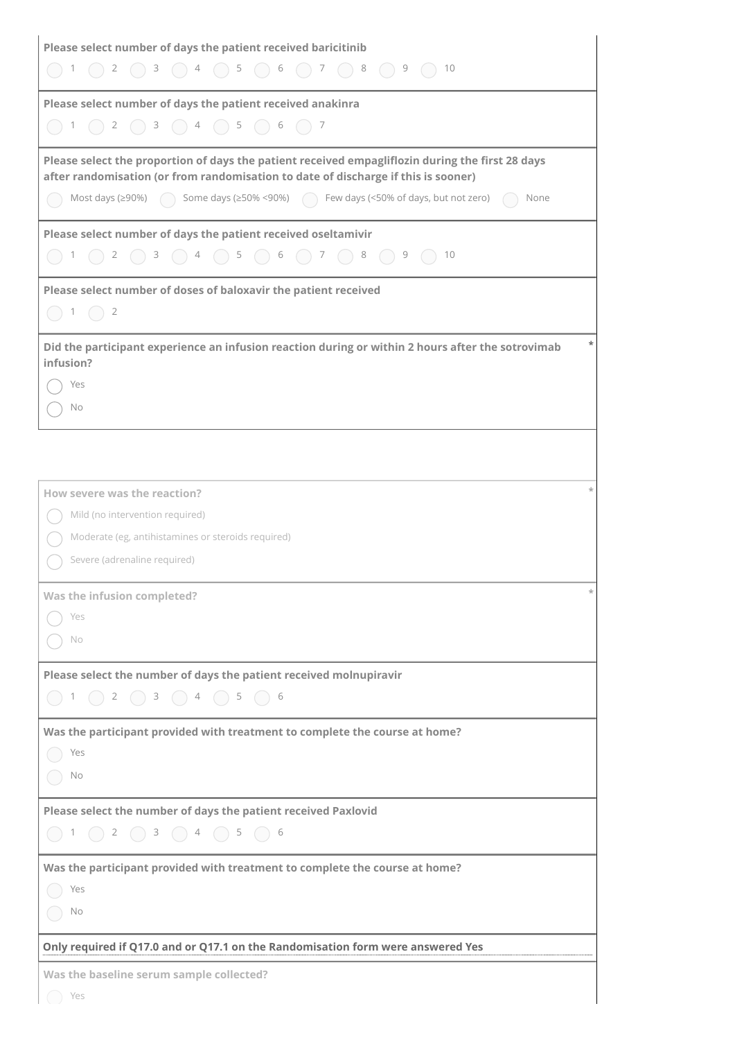| Please select number of days the patient received baricitinib                                                                                                                                                |
|--------------------------------------------------------------------------------------------------------------------------------------------------------------------------------------------------------------|
|                                                                                                                                                                                                              |
| Please select number of days the patient received anakinra                                                                                                                                                   |
|                                                                                                                                                                                                              |
|                                                                                                                                                                                                              |
| Please select the proportion of days the patient received empagliflozin during the first 28 days<br>after randomisation (or from randomisation to date of discharge if this is sooner)                       |
| Most days (≥90%) $\qquad$ Some days (≥50% <90%) $\qquad$ Few days (<50% of days, but not zero) $\qquad$ None                                                                                                 |
|                                                                                                                                                                                                              |
| Please select number of days the patient received oseltamivir                                                                                                                                                |
| $\bigcirc$ 1 $\bigcirc$ 2 $\bigcirc$ 3 $\bigcirc$ 4 $\bigcirc$ 5 $\bigcirc$ 6 $\bigcirc$ 7 $\bigcirc$ 8 $\bigcirc$ 9 $\bigcirc$ 10                                                                           |
| Please select number of doses of baloxavir the patient received                                                                                                                                              |
| $\bigcirc$ 1 $\bigcirc$ 2                                                                                                                                                                                    |
| Did the participant experience an infusion reaction during or within 2 hours after the sotrovimab<br>infusion?                                                                                               |
| $\bigcirc$ Yes                                                                                                                                                                                               |
| $\bigcirc$ No                                                                                                                                                                                                |
|                                                                                                                                                                                                              |
|                                                                                                                                                                                                              |
|                                                                                                                                                                                                              |
| How severe was the reaction?                                                                                                                                                                                 |
| ( ) Mild (no intervention required)                                                                                                                                                                          |
| (C) Moderate (eg, antihistamines or steroids required)                                                                                                                                                       |
| Severe (adrenaline required)                                                                                                                                                                                 |
| Was the infusion completed?                                                                                                                                                                                  |
| $\bigcirc$ Yes                                                                                                                                                                                               |
| $\bigcirc$ No                                                                                                                                                                                                |
| Please select the number of days the patient received molnupiravir                                                                                                                                           |
| $\begin{array}{ccc}\n\bullet & \bullet & \bullet & \bullet & \bullet \\ \bullet & \bullet & \bullet & \bullet & \bullet & \bullet \\ \bullet & \bullet & \bullet & \bullet & \bullet & \bullet\n\end{array}$ |
|                                                                                                                                                                                                              |
| Was the participant provided with treatment to complete the course at home?                                                                                                                                  |
| $\bigcirc$ Yes                                                                                                                                                                                               |
| $\bigcap$ No                                                                                                                                                                                                 |
| Please select the number of days the patient received Paxlovid                                                                                                                                               |
|                                                                                                                                                                                                              |
| Was the participant provided with treatment to complete the course at home?                                                                                                                                  |
| $\bigcirc$ Yes                                                                                                                                                                                               |
| $\bigcap$ No                                                                                                                                                                                                 |
|                                                                                                                                                                                                              |
| Only required if Q17.0 and or Q17.1 on the Randomisation form were answered Yes                                                                                                                              |
| Was the baseline serum sample collected?                                                                                                                                                                     |
| Yes                                                                                                                                                                                                          |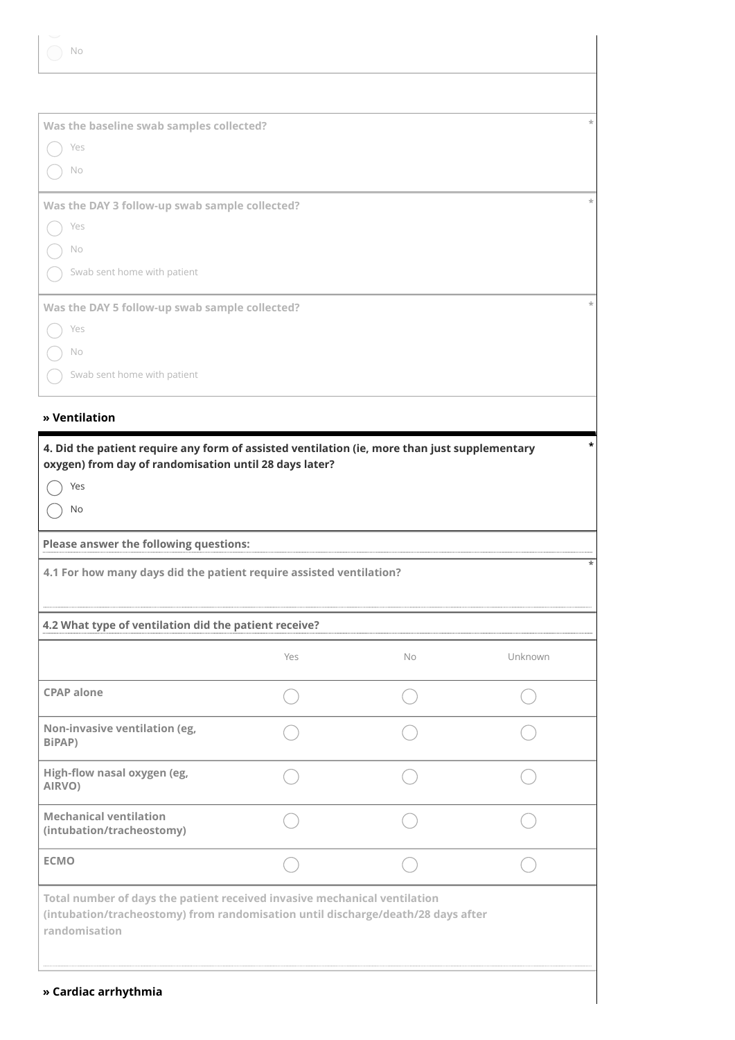**» Cardiac arrhythmia**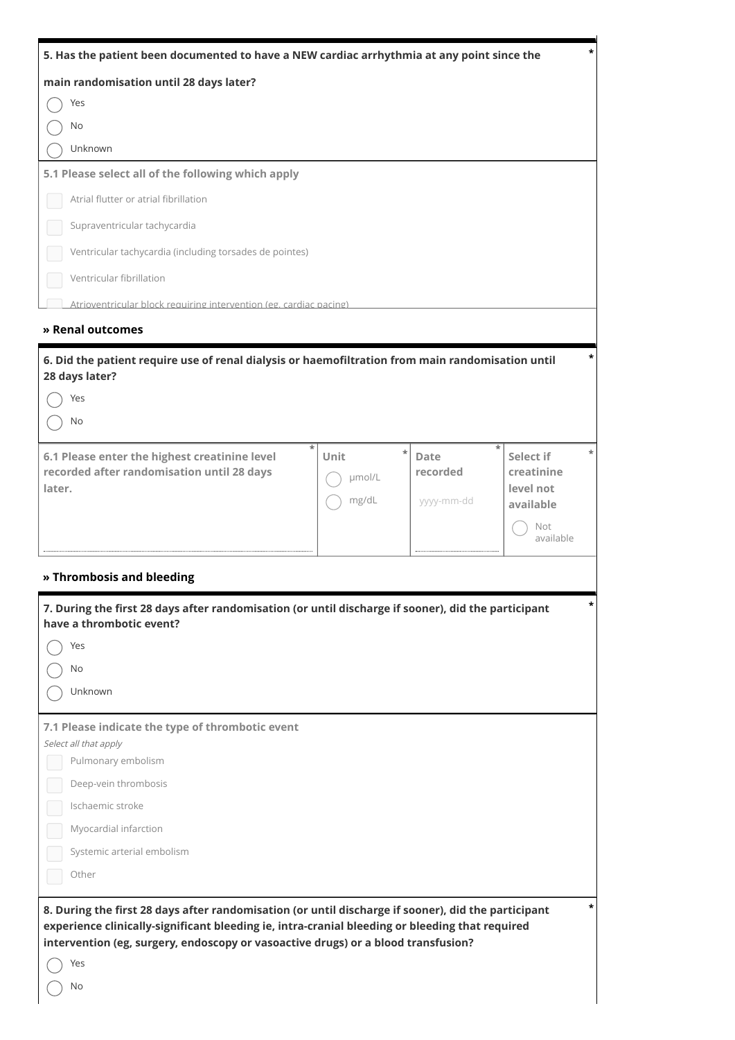| 5. Has the patient been documented to have a NEW cardiac arrhythmia at any point since the                                                                                                                                                                                                               |                                   |                                |                                                   |
|----------------------------------------------------------------------------------------------------------------------------------------------------------------------------------------------------------------------------------------------------------------------------------------------------------|-----------------------------------|--------------------------------|---------------------------------------------------|
| main randomisation until 28 days later?                                                                                                                                                                                                                                                                  |                                   |                                |                                                   |
| Yes                                                                                                                                                                                                                                                                                                      |                                   |                                |                                                   |
| No                                                                                                                                                                                                                                                                                                       |                                   |                                |                                                   |
| Unknown                                                                                                                                                                                                                                                                                                  |                                   |                                |                                                   |
| 5.1 Please select all of the following which apply                                                                                                                                                                                                                                                       |                                   |                                |                                                   |
| Atrial flutter or atrial fibrillation                                                                                                                                                                                                                                                                    |                                   |                                |                                                   |
| Supraventricular tachycardia                                                                                                                                                                                                                                                                             |                                   |                                |                                                   |
| Ventricular tachycardia (including torsades de pointes)                                                                                                                                                                                                                                                  |                                   |                                |                                                   |
| Ventricular fibrillation                                                                                                                                                                                                                                                                                 |                                   |                                |                                                   |
| Atrioventricular block requiring intervention (eg. cardiac pacing)                                                                                                                                                                                                                                       |                                   |                                |                                                   |
| » Renal outcomes                                                                                                                                                                                                                                                                                         |                                   |                                |                                                   |
| 6. Did the patient require use of renal dialysis or haemofiltration from main randomisation until<br>28 days later?                                                                                                                                                                                      |                                   |                                |                                                   |
| Yes                                                                                                                                                                                                                                                                                                      |                                   |                                |                                                   |
| No                                                                                                                                                                                                                                                                                                       |                                   |                                |                                                   |
| 6.1 Please enter the highest creatinine level<br>recorded after randomisation until 28 days<br>later.                                                                                                                                                                                                    | $\ast$<br>Unit<br>umol/L<br>mg/dL | Date<br>recorded<br>yyyy-mm-dd | Select if<br>creatinine<br>level not<br>available |
|                                                                                                                                                                                                                                                                                                          |                                   |                                | Not<br>available                                  |
| » Thrombosis and bleeding                                                                                                                                                                                                                                                                                |                                   |                                |                                                   |
| 7. During the first 28 days after randomisation (or until discharge if sooner), did the participant<br>have a thrombotic event?<br>Yes                                                                                                                                                                   |                                   |                                | *                                                 |
| No                                                                                                                                                                                                                                                                                                       |                                   |                                |                                                   |
| Unknown                                                                                                                                                                                                                                                                                                  |                                   |                                |                                                   |
| 7.1 Please indicate the type of thrombotic event<br>Select all that apply<br>Pulmonary embolism<br>Deep-vein thrombosis<br>Ischaemic stroke<br>Myocardial infarction<br>Systemic arterial embolism<br>Other                                                                                              |                                   |                                |                                                   |
| 8. During the first 28 days after randomisation (or until discharge if sooner), did the participant<br>experience clinically-significant bleeding ie, intra-cranial bleeding or bleeding that required<br>intervention (eg, surgery, endoscopy or vasoactive drugs) or a blood transfusion?<br>Yes<br>No |                                   |                                | *                                                 |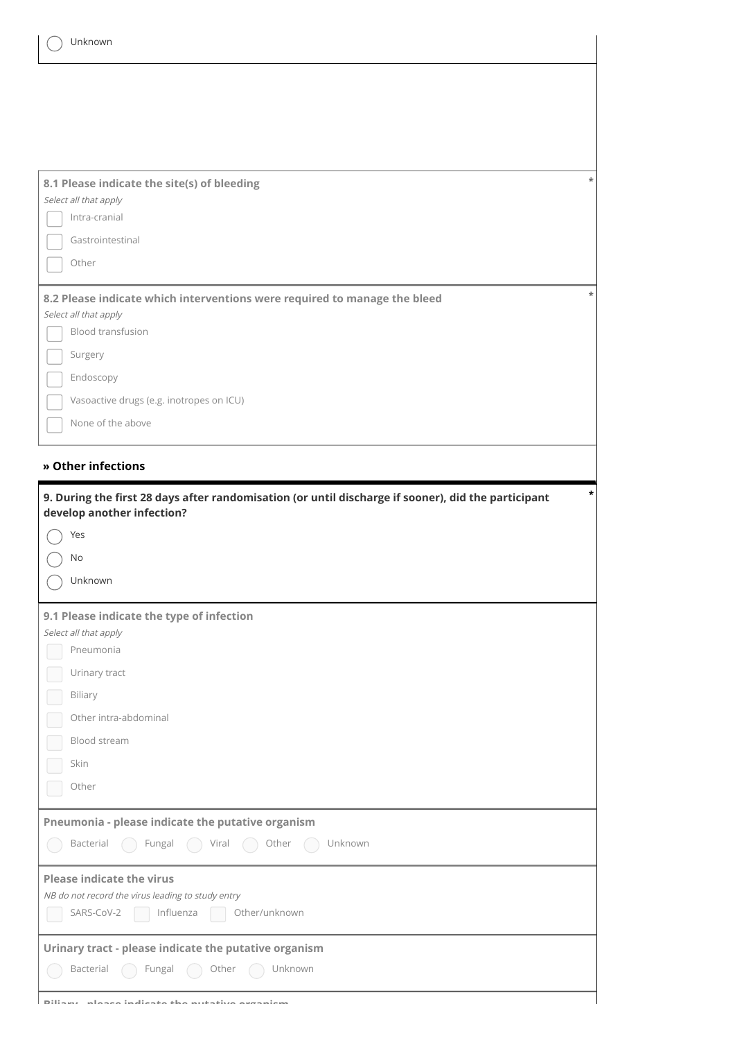| $\ast$<br>8.1 Please indicate the site(s) of bleeding<br>Select all that apply<br>Intra-cranial                                          |
|------------------------------------------------------------------------------------------------------------------------------------------|
| Gastrointestinal                                                                                                                         |
| Other                                                                                                                                    |
| $\ast$<br>8.2 Please indicate which interventions were required to manage the bleed<br>Select all that apply<br><b>Blood transfusion</b> |
| Surgery                                                                                                                                  |
| Endoscopy                                                                                                                                |
| Vasoactive drugs (e.g. inotropes on ICU)                                                                                                 |
| None of the above                                                                                                                        |
| » Other infections                                                                                                                       |
| *<br>9. During the first 28 days after randomisation (or until discharge if sooner), did the participant<br>develop another infection?   |
| Yes                                                                                                                                      |
|                                                                                                                                          |
| No                                                                                                                                       |
| Unknown                                                                                                                                  |
| 9.1 Please indicate the type of infection                                                                                                |
| Select all that apply<br>Pneumonia                                                                                                       |
| Urinary tract                                                                                                                            |
| Biliary                                                                                                                                  |
| Other intra-abdominal                                                                                                                    |
| Blood stream                                                                                                                             |
| Skin                                                                                                                                     |
| Other                                                                                                                                    |
| Pneumonia - please indicate the putative organism                                                                                        |
| Bacterial<br>Fungal<br>Unknown<br>Other<br>Viral                                                                                         |
| <b>Please indicate the virus</b>                                                                                                         |
| NB do not record the virus leading to study entry<br>SARS-CoV-2<br>Influenza<br>Other/unknown                                            |
| Urinary tract - please indicate the putative organism<br>Fungal<br>Unknown<br>Bacterial<br>Other<br>(                                    |

**Biliary please indicate the putative organism**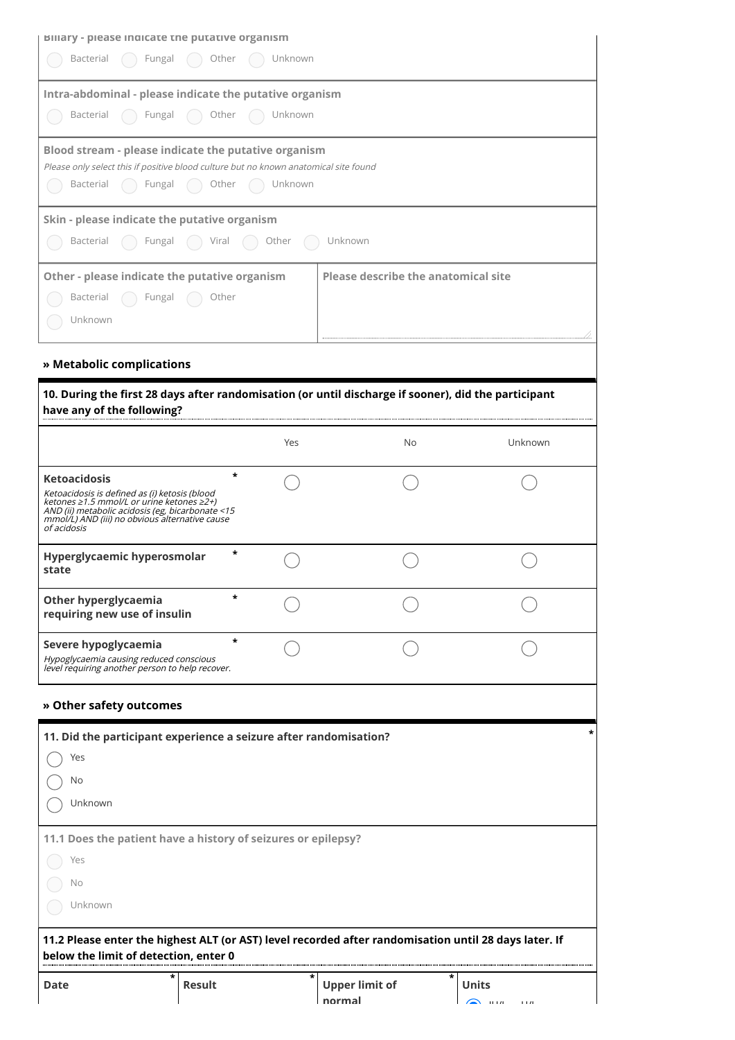| <b>Billary - please indicate the putative organism</b>                                                                                                                                                                                 |           |             |                                            |            |
|----------------------------------------------------------------------------------------------------------------------------------------------------------------------------------------------------------------------------------------|-----------|-------------|--------------------------------------------|------------|
| Bacterial<br>Fungal                                                                                                                                                                                                                    | Other     | Unknown     |                                            |            |
| Intra-abdominal - please indicate the putative organism                                                                                                                                                                                |           |             |                                            |            |
| Bacterial<br>Fungal                                                                                                                                                                                                                    | Other     | Unknown     |                                            |            |
| Blood stream - please indicate the putative organism<br>Please only select this if positive blood culture but no known anatomical site found<br>Fungal<br>Bacterial                                                                    | ( ) Other | ( ) Unknown |                                            |            |
| Skin - please indicate the putative organism<br>Bacterial<br>Fungal                                                                                                                                                                    | Viral     | Other       | Unknown                                    |            |
| Other - please indicate the putative organism<br>Bacterial<br>Fungal<br>Unknown                                                                                                                                                        | Other     |             | <b>Please describe the anatomical site</b> |            |
| » Metabolic complications                                                                                                                                                                                                              |           |             |                                            |            |
| 10. During the first 28 days after randomisation (or until discharge if sooner), did the participant<br>have any of the following?                                                                                                     |           |             |                                            |            |
|                                                                                                                                                                                                                                        |           | Yes         | No                                         | Unknown    |
| <b>Ketoacidosis</b><br>Ketoacidosis is defined as (i) ketosis (blood<br>ketones ≥1.5 mmol/L or urine ketones ≥2+)<br>AND (ii) metabolic acidosis (eg, bicarbonate <15<br>mmol/L) AND (iii) no obvious alternative cause<br>of acidosis | *         |             |                                            |            |
| Hyperglycaemic hyperosmolar<br>state                                                                                                                                                                                                   | *         |             |                                            |            |
| <b>Other hyperglycaemia</b><br>requiring new use of insulin                                                                                                                                                                            | *         |             |                                            |            |
| Severe hypoglycaemia<br>Hypoglycaemia causing reduced conscious<br>level requiring another person to help recover.                                                                                                                     | $\ast$    |             |                                            |            |
| » Other safety outcomes                                                                                                                                                                                                                |           |             |                                            |            |
| 11. Did the participant experience a seizure after randomisation?<br>Yes<br>No<br>Unknown                                                                                                                                              |           |             |                                            | *          |
| 11.1 Does the patient have a history of seizures or epilepsy?<br>Yes<br>No<br>Unknown                                                                                                                                                  |           |             |                                            |            |
| 11.2 Please enter the highest ALT (or AST) level recorded after randomisation until 28 days later. If<br>below the limit of detection, enter 0                                                                                         |           |             |                                            |            |
| *<br><b>Date</b>                                                                                                                                                                                                                       | Result    | *           | <b>Upper limit of</b>                      | *<br>Units |

**normal**

 $\sum_{i=1}^{\infty}$  upon  $\sum_{i=1}^{\infty}$